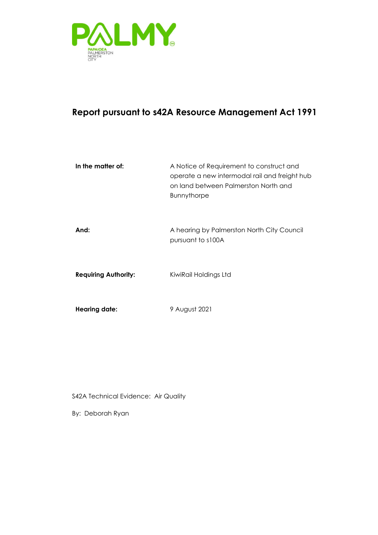

## **Report pursuant to s42A Resource Management Act 1991**

| In the matter of:           | A Notice of Requirement to construct and<br>operate a new intermodal rail and freight hub<br>on land between Palmerston North and<br><b>Bunnythorpe</b> |
|-----------------------------|---------------------------------------------------------------------------------------------------------------------------------------------------------|
| And:                        | A hearing by Palmerston North City Council<br>pursuant to s100A                                                                                         |
| <b>Requiring Authority:</b> | KiwiRail Holdings Ltd                                                                                                                                   |
| <b>Hearing date:</b>        | 9 August 2021                                                                                                                                           |

S42A Technical Evidence: Air Quality

By: Deborah Ryan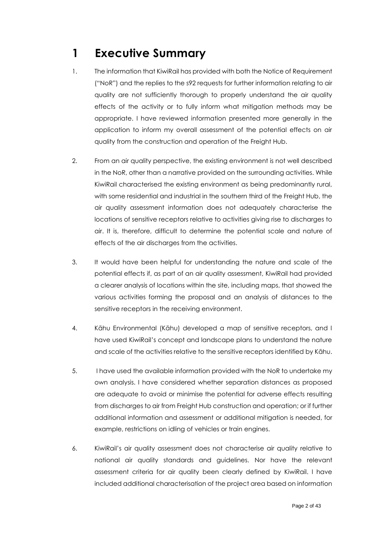# <span id="page-1-0"></span>**1 Executive Summary**

- 1. The information that KiwiRail has provided with both the Notice of Requirement ("NoR") and the replies to the s92 requests for further information relating to air quality are not sufficiently thorough to properly understand the air quality effects of the activity or to fully inform what mitigation methods may be appropriate. I have reviewed information presented more generally in the application to inform my overall assessment of the potential effects on air quality from the construction and operation of the Freight Hub.
- 2. From an air quality perspective, the existing environment is not well described in the NoR, other than a narrative provided on the surrounding activities. While KiwiRail characterised the existing environment as being predominantly rural, with some residential and industrial in the southern third of the Freight Hub, the air quality assessment information does not adequately characterise the locations of sensitive receptors relative to activities giving rise to discharges to air. It is, therefore, difficult to determine the potential scale and nature of effects of the air discharges from the activities.
- 3. It would have been helpful for understanding the nature and scale of the potential effects if, as part of an air quality assessment, KiwiRail had provided a clearer analysis of locations within the site, including maps, that showed the various activities forming the proposal and an analysis of distances to the sensitive receptors in the receiving environment.
- 4. Kāhu Environmental (Kāhu) developed a map of sensitive receptors, and I have used KiwiRail's concept and landscape plans to understand the nature and scale of the activities relative to the sensitive receptors identified by Kāhu.
- 5. I have used the available information provided with the NoR to undertake my own analysis. I have considered whether separation distances as proposed are adequate to avoid or minimise the potential for adverse effects resulting from discharges to air from Freight Hub construction and operation; or if further additional information and assessment or additional mitigation is needed, for example, restrictions on idling of vehicles or train engines.
- 6. KiwiRail's air quality assessment does not characterise air quality relative to national air quality standards and guidelines. Nor have the relevant assessment criteria for air quality been clearly defined by KiwiRail. I have included additional characterisation of the project area based on information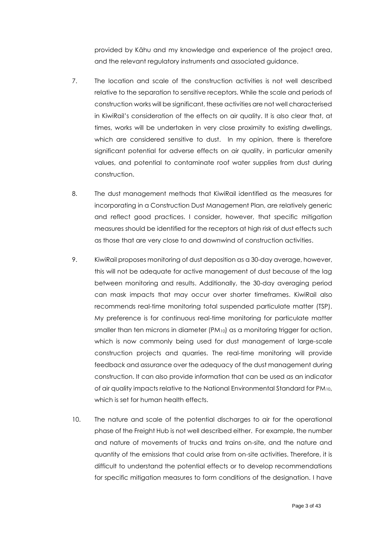provided by Kāhu and my knowledge and experience of the project area, and the relevant regulatory instruments and associated guidance.

- 7. The location and scale of the construction activities is not well described relative to the separation to sensitive receptors. While the scale and periods of construction works will be significant, these activities are not well characterised in KiwiRail's consideration of the effects on air quality. It is also clear that, at times, works will be undertaken in very close proximity to existing dwellings, which are considered sensitive to dust. In my opinion, there is therefore significant potential for adverse effects on air quality, in particular amenity values, and potential to contaminate roof water supplies from dust during construction.
- 8. The dust management methods that KiwiRail identified as the measures for incorporating in a Construction Dust Management Plan, are relatively generic and reflect good practices. I consider, however, that specific mitigation measures should be identified for the receptors at high risk of dust effects such as those that are very close to and downwind of construction activities.
- 9. KiwiRail proposes monitoring of dust deposition as a 30-day average, however, this will not be adequate for active management of dust because of the lag between monitoring and results. Additionally, the 30-day averaging period can mask impacts that may occur over shorter timeframes. KiwiRail also recommends real-time monitoring total suspended particulate matter (TSP). My preference is for continuous real-time monitoring for particulate matter smaller than ten microns in diameter (PM<sub>10</sub>) as a monitoring trigger for action, which is now commonly being used for dust management of large-scale construction projects and quarries. The real-time monitoring will provide feedback and assurance over the adequacy of the dust management during construction. It can also provide information that can be used as an indicator of air quality impacts relative to the National Environmental Standard for PM10, which is set for human health effects.
- 10. The nature and scale of the potential discharges to air for the operational phase of the Freight Hub is not well described either. For example, the number and nature of movements of trucks and trains on-site, and the nature and quantity of the emissions that could arise from on-site activities. Therefore, it is difficult to understand the potential effects or to develop recommendations for specific mitigation measures to form conditions of the designation. I have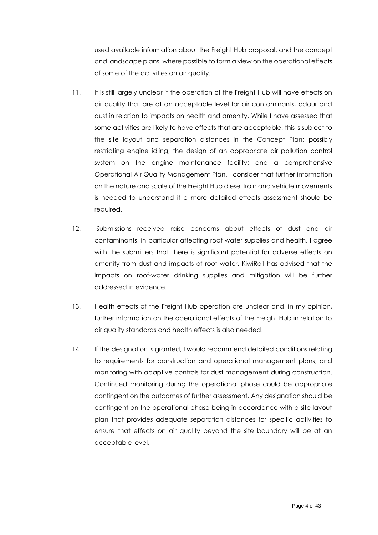used available information about the Freight Hub proposal, and the concept and landscape plans, where possible to form a view on the operational effects of some of the activities on air quality.

- 11. It is still largely unclear if the operation of the Freight Hub will have effects on air quality that are at an acceptable level for air contaminants, odour and dust in relation to impacts on health and amenity. While I have assessed that some activities are likely to have effects that are acceptable, this is subject to the site layout and separation distances in the Concept Plan; possibly restricting engine idling; the design of an appropriate air pollution control system on the engine maintenance facility; and a comprehensive Operational Air Quality Management Plan. I consider that further information on the nature and scale of the Freight Hub diesel train and vehicle movements is needed to understand if a more detailed effects assessment should be required.
- 12. Submissions received raise concerns about effects of dust and air contaminants, in particular affecting roof water supplies and health. I agree with the submitters that there is significant potential for adverse effects on amenity from dust and impacts of roof water. KiwiRail has advised that the impacts on roof-water drinking supplies and mitigation will be further addressed in evidence.
- 13. Health effects of the Freight Hub operation are unclear and, in my opinion, further information on the operational effects of the Freight Hub in relation to air quality standards and health effects is also needed.
- 14. If the designation is granted, I would recommend detailed conditions relating to requirements for construction and operational management plans; and monitoring with adaptive controls for dust management during construction. Continued monitoring during the operational phase could be appropriate contingent on the outcomes of further assessment. Any designation should be contingent on the operational phase being in accordance with a site layout plan that provides adequate separation distances for specific activities to ensure that effects on air quality beyond the site boundary will be at an acceptable level.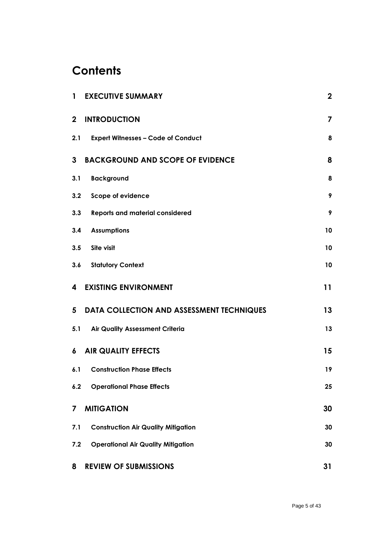# **Contents**

| $\mathbf{1}$     | <b>EXECUTIVE SUMMARY</b>                   | $\boldsymbol{2}$ |
|------------------|--------------------------------------------|------------------|
| $\mathbf{2}$     | <b>INTRODUCTION</b>                        | 7                |
| 2.1              | <b>Expert Witnesses - Code of Conduct</b>  | 8                |
| 3                | <b>BACKGROUND AND SCOPE OF EVIDENCE</b>    | 8                |
| 3.1              | <b>Background</b>                          | 8                |
| 3.2              | <b>Scope of evidence</b>                   | 9                |
| 3.3              | <b>Reports and material considered</b>     | 9                |
| 3.4              | <b>Assumptions</b>                         | 10               |
| 3.5              | Site visit                                 | 10               |
|                  | 3.6 Statutory Context                      | 10               |
| 4                | <b>EXISTING ENVIRONMENT</b>                | 11               |
| 5                | DATA COLLECTION AND ASSESSMENT TECHNIQUES  | 13               |
| 5.1              | <b>Air Quality Assessment Criteria</b>     | 13               |
| $\boldsymbol{6}$ | <b>AIR QUALITY EFFECTS</b>                 | 15               |
| 6.1              | <b>Construction Phase Effects</b>          | 19               |
| 6.2              | <b>Operational Phase Effects</b>           | 25               |
| 7                | <b>MITIGATION</b>                          | 30               |
| 7.1              | <b>Construction Air Quality Mitigation</b> | 30               |
| 7.2              | <b>Operational Air Quality Mitigation</b>  | 30               |
| 8                | <b>REVIEW OF SUBMISSIONS</b>               | 31               |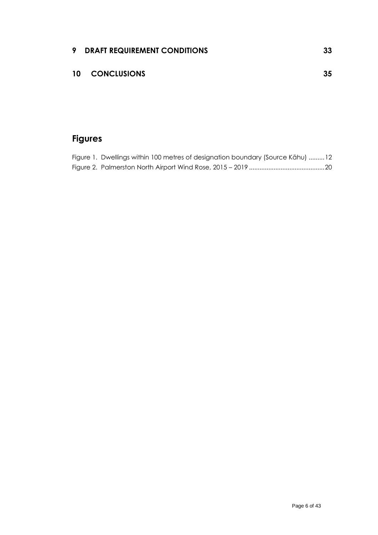## **10 [CONCLUSIONS](#page-34-0) 35**

## **Figures**

| Figure 1. Dwellings within 100 metres of designation boundary (Source Kāhu) 12 |  |
|--------------------------------------------------------------------------------|--|
|                                                                                |  |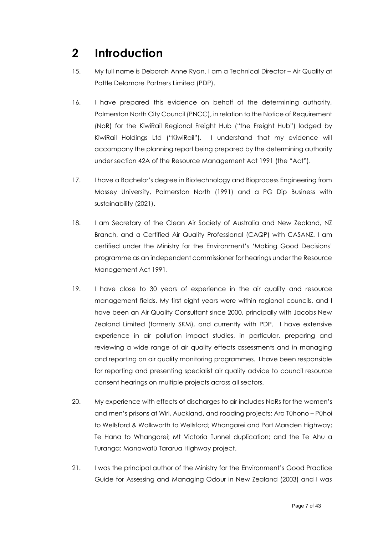# <span id="page-6-0"></span>**2 Introduction**

- 15. My full name is Deborah Anne Ryan. I am a Technical Director Air Quality at Pattle Delamore Partners Limited (PDP).
- 16. I have prepared this evidence on behalf of the determining authority, Palmerston North City Council (PNCC), in relation to the Notice of Requirement (NoR) for the KiwiRail Regional Freight Hub ("the Freight Hub") lodged by KiwiRail Holdings Ltd ("KiwiRail"). I understand that my evidence will accompany the planning report being prepared by the determining authority under section 42A of the Resource Management Act 1991 (the "Act").
- 17. I have a Bachelor's degree in Biotechnology and Bioprocess Engineering from Massey University, Palmerston North (1991) and a PG Dip Business with sustainability (2021).
- 18. I am Secretary of the Clean Air Society of Australia and New Zealand, NZ Branch, and a Certified Air Quality Professional (CAQP) with CASANZ. I am certified under the Ministry for the Environment's 'Making Good Decisions' programme as an independent commissioner for hearings under the Resource Management Act 1991.
- 19. I have close to 30 years of experience in the air quality and resource management fields. My first eight years were within regional councils, and I have been an Air Quality Consultant since 2000, principally with Jacobs New Zealand Limited (formerly SKM), and currently with PDP. I have extensive experience in air pollution impact studies, in particular, preparing and reviewing a wide range of air quality effects assessments and in managing and reporting on air quality monitoring programmes. I have been responsible for reporting and presenting specialist air quality advice to council resource consent hearings on multiple projects across all sectors.
- 20. My experience with effects of discharges to air includes NoRs for the women's and men's prisons at Wiri, Auckland, and roading projects: Ara Tūhono – Pūhoi to Wellsford & Walkworth to Wellsford; Whangarei and Port Marsden Highway; Te Hana to Whangarei; Mt Victoria Tunnel duplication; and the Te Ahu a Turanga: Manawatū Tararua Highway project.
- 21. I was the principal author of the Ministry for the Environment's Good Practice Guide for Assessing and Managing Odour in New Zealand (2003) and I was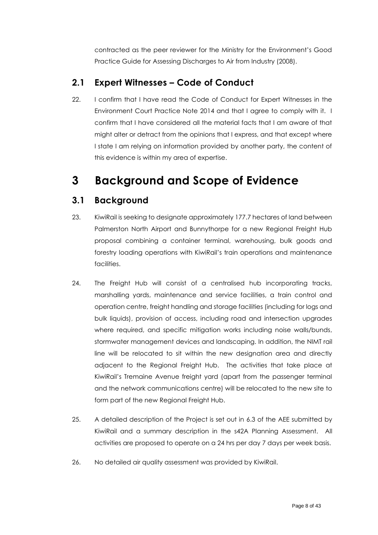contracted as the peer reviewer for the Ministry for the Environment's Good Practice Guide for Assessing Discharges to Air from Industry (2008).

### <span id="page-7-0"></span>**2.1 Expert Witnesses – Code of Conduct**

22. I confirm that I have read the Code of Conduct for Expert Witnesses in the Environment Court Practice Note 2014 and that I agree to comply with it. I confirm that I have considered all the material facts that I am aware of that might alter or detract from the opinions that I express, and that except where I state I am relying on information provided by another party, the content of this evidence is within my area of expertise.

# <span id="page-7-1"></span>**3 Background and Scope of Evidence**

## <span id="page-7-2"></span>**3.1 Background**

- 23. KiwiRail is seeking to designate approximately 177.7 hectares of land between Palmerston North Airport and Bunnythorpe for a new Regional Freight Hub proposal combining a container terminal, warehousing, bulk goods and forestry loading operations with KiwiRail's train operations and maintenance facilities.
- 24. The Freight Hub will consist of a centralised hub incorporating tracks, marshalling yards, maintenance and service facilities, a train control and operation centre, freight handling and storage facilities (including for logs and bulk liquids), provision of access, including road and intersection upgrades where required, and specific mitigation works including noise walls/bunds, stormwater management devices and landscaping. In addition, the NIMT rail line will be relocated to sit within the new designation area and directly adjacent to the Regional Freight Hub. The activities that take place at KiwiRail's Tremaine Avenue freight yard (apart from the passenger terminal and the network communications centre) will be relocated to the new site to form part of the new Regional Freight Hub.
- 25. A detailed description of the Project is set out in 6.3 of the AEE submitted by KiwiRail and a summary description in the s42A Planning Assessment. All activities are proposed to operate on a 24 hrs per day 7 days per week basis.
- 26. No detailed air quality assessment was provided by KiwiRail.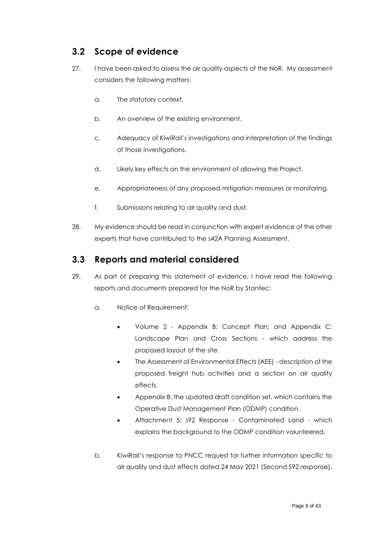### <span id="page-8-0"></span>**3.2 Scope of evidence**

- 27. I have been asked to assess the air quality aspects of the NoR. My assessment considers the following matters:
	- a. The statutory context.
	- b. An overview of the existing environment.
	- c. Adequacy of KiwiRail's investigations and interpretation of the findings of those investigations.
	- d. Likely key effects on the environment of allowing the Project.
	- e. Appropriateness of any proposed mitigation measures or monitoring.
	- f. Submissions relating to air quality and dust.
- 28. My evidence should be read in conjunction with expert evidence of the other experts that have contributed to the s42A Planning Assessment.

### <span id="page-8-1"></span>**3.3 Reports and material considered**

- 29. As part of preparing this statement of evidence, I have read the following reports and documents prepared for the NoR by Stantec:
	- a. Notice of Requirement:
		- Volume 2 Appendix B: Concept Plan; and Appendix C: Landscape Plan and Cross Sections - which address the proposed layout of the site.
		- The Assessment of Environmental Effects (AEE) description of the proposed freight hub activities and a section on air quality effects.
		- Appendix B: the updated draft condition set, which contains the Operative Dust Management Plan (ODMP) condition.
		- Attachment 5: s92 Response Contaminated Land which explains the background to the ODMP condition volunteered.
	- b. KiwiRail's response to PNCC request for further information specific to air quality and dust effects dated 24 May 2021 (Second S92 response).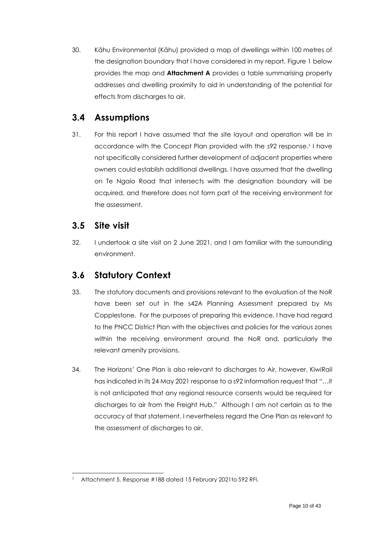30. Kāhu Environmental (Kāhu) provided a map of dwellings within 100 metres of the designation boundary that I have considered in my report. Figure 1 below provides the map and **Attachment A** provides a table summarising property addresses and dwelling proximity to aid in understanding of the potential for effects from discharges to air.

### <span id="page-9-0"></span>**3.4 Assumptions**

31. For this report I have assumed that the site layout and operation will be in accordance with the Concept Plan provided with the s92 response.<sup>1</sup> I have not specifically considered further development of adjacent properties where owners could establish additional dwellings. I have assumed that the dwelling on Te Ngaio Road that intersects with the designation boundary will be acquired, and therefore does not form part of the receiving environment for the assessment.

### <span id="page-9-1"></span>**3.5 Site visit**

32. I undertook a site visit on 2 June 2021, and I am familiar with the surrounding environment.

### <span id="page-9-2"></span>**3.6 Statutory Context**

- 33. The statutory documents and provisions relevant to the evaluation of the NoR have been set out in the s42A Planning Assessment prepared by Ms Copplestone. For the purposes of preparing this evidence, I have had regard to the PNCC District Plan with the objectives and policies for the various zones within the receiving environment around the NoR and, particularly the relevant amenity provisions.
- 34. The Horizons' One Plan is also relevant to discharges to Air, however, KiwiRail has indicated in its 24 May 2021 response to a s92 information request that "…it is not anticipated that any regional resource consents would be required for discharges to air from the Freight Hub." Although I am not certain as to the accuracy of that statement, I nevertheless regard the One Plan as relevant to the assessment of discharges to air.

<sup>&</sup>lt;sup>1</sup> Attachment 5, Response #188 dated 15 February 2021 to S92 RFI.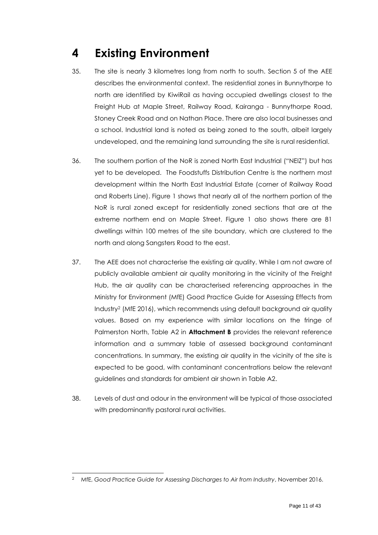# <span id="page-10-0"></span>**4 Existing Environment**

- 35. The site is nearly 3 kilometres long from north to south. Section 5 of the AEE describes the environmental context. The residential zones in Bunnythorpe to north are identified by KiwiRail as having occupied dwellings closest to the Freight Hub at Maple Street, Railway Road, Kairanga - Bunnythorpe Road, Stoney Creek Road and on Nathan Place. There are also local businesses and a school. Industrial land is noted as being zoned to the south, albeit largely undeveloped, and the remaining land surrounding the site is rural residential.
- 36. The southern portion of the NoR is zoned North East Industrial ("NEIZ") but has yet to be developed. The Foodstuffs Distribution Centre is the northern most development within the North East Industrial Estate (corner of Railway Road and Roberts Line). Figure 1 shows that nearly all of the northern portion of the NoR is rural zoned except for residentially zoned sections that are at the extreme northern end on Maple Street. Figure 1 also shows there are 81 dwellings within 100 metres of the site boundary, which are clustered to the north and along Sangsters Road to the east.
- 37. The AEE does not characterise the existing air quality. While I am not aware of publicly available ambient air quality monitoring in the vicinity of the Freight Hub, the air quality can be characterised referencing approaches in the Ministry for Environment (MfE) Good Practice Guide for Assessing Effects from Industry<sup>2</sup> (MfE 2016), which recommends using default background air quality values. Based on my experience with similar locations on the fringe of Palmerston North, Table A2 in **Attachment B** provides the relevant reference information and a summary table of assessed background contaminant concentrations. In summary, the existing air quality in the vicinity of the site is expected to be good, with contaminant concentrations below the relevant guidelines and standards for ambient air shown in Table A2.
- 38. Levels of dust and odour in the environment will be typical of those associated with predominantly pastoral rural activities.

<sup>2</sup> MfE, *Good Practice Guide for Assessing Discharges to Air from Industry*, November 2016.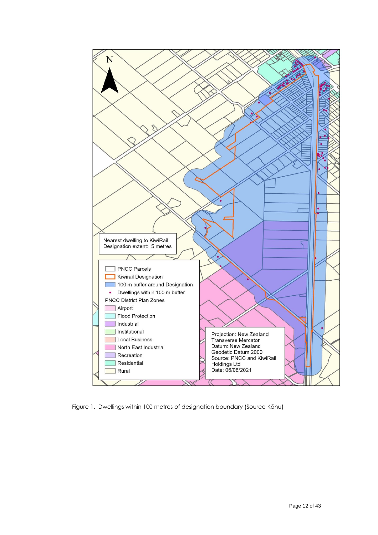

<span id="page-11-0"></span>Figure 1. Dwellings within 100 metres of designation boundary (Source Kāhu)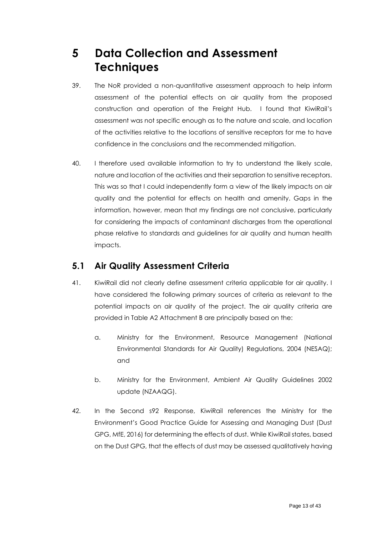# <span id="page-12-0"></span>**5 Data Collection and Assessment Techniques**

- 39. The NoR provided a non-quantitative assessment approach to help inform assessment of the potential effects on air quality from the proposed construction and operation of the Freight Hub. I found that KiwiRail's assessment was not specific enough as to the nature and scale, and location of the activities relative to the locations of sensitive receptors for me to have confidence in the conclusions and the recommended mitigation.
- 40. I therefore used available information to try to understand the likely scale, nature and location of the activities and their separation to sensitive receptors. This was so that I could independently form a view of the likely impacts on air quality and the potential for effects on health and amenity. Gaps in the information, however, mean that my findings are not conclusive, particularly for considering the impacts of contaminant discharges from the operational phase relative to standards and guidelines for air quality and human health impacts.

### <span id="page-12-1"></span>**5.1 Air Quality Assessment Criteria**

- 41. KiwiRail did not clearly define assessment criteria applicable for air quality. I have considered the following primary sources of criteria as relevant to the potential impacts on air quality of the project. The air quality criteria are provided in Table A2 Attachment B are principally based on the:
	- a. Ministry for the Environment, Resource Management (National Environmental Standards for Air Quality) Regulations, 2004 (NESAQ); and
	- b. Ministry for the Environment, Ambient Air Quality Guidelines 2002 update (NZAAQG).
- 42. In the Second s92 Response, KiwiRail references the Ministry for the Environment's Good Practice Guide for Assessing and Managing Dust (Dust GPG, MfE, 2016) for determining the effects of dust. While KiwiRail states, based on the Dust GPG, that the effects of dust may be assessed qualitatively having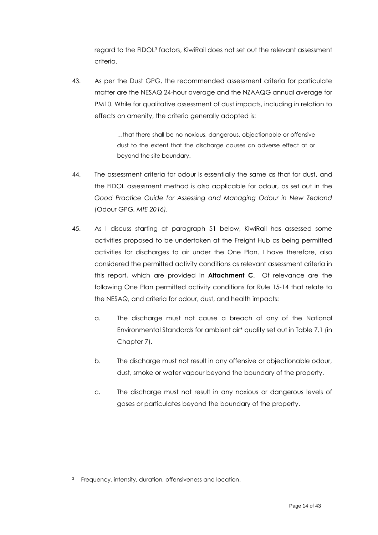regard to the FIDOL<sup>3</sup> factors, KiwiRail does not set out the relevant assessment criteria.

43. As per the Dust GPG, the recommended assessment criteria for particulate matter are the NESAQ 24-hour average and the NZAAQG annual average for PM10. While for qualitative assessment of dust impacts, including in relation to effects on amenity, the criteria generally adopted is:

> …that there shall be no noxious, dangerous, objectionable or offensive dust to the extent that the discharge causes an adverse effect at or beyond the site boundary.

- 44. The assessment criteria for odour is essentially the same as that for dust, and the FIDOL assessment method is also applicable for odour, as set out in the *Good Practice Guide for Assessing and Managing Odour in New Zealand* (Odour GPG, *MfE 2016).*
- 45. As I discuss starting at paragraph 51 below, KiwiRail has assessed some activities proposed to be undertaken at the Freight Hub as being permitted activities for discharges to air under the One Plan. I have therefore, also considered the permitted activity conditions as relevant assessment criteria in this report, which are provided in **Attachment C**. Of relevance are the following One Plan permitted activity conditions for Rule 15-14 that relate to the NESAQ, and criteria for odour, dust, and health impacts:
	- a. The discharge must not cause a breach of any of the National Environmental Standards for ambient air\* quality set out in Table 7.1 (in Chapter 7).
	- b. The discharge must not result in any offensive or objectionable odour, dust, smoke or water vapour beyond the boundary of the property.
	- c. The discharge must not result in any noxious or dangerous levels of gases or particulates beyond the boundary of the property.

<sup>&</sup>lt;sup>3</sup> Frequency, intensity, duration, offensiveness and location.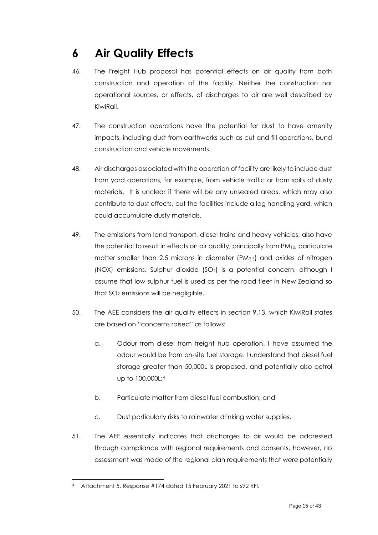# <span id="page-14-0"></span>**6 Air Quality Effects**

- 46. The Freight Hub proposal has potential effects on air quality from both construction and operation of the facility. Neither the construction nor operational sources, or effects, of discharges to air are well described by KiwiRail.
- 47. The construction operations have the potential for dust to have amenity impacts, including dust from earthworks such as cut and fill operations, bund construction and vehicle movements.
- 48. Air discharges associated with the operation of facility are likely to include dust from yard operations, for example, from vehicle traffic or from spills of dusty materials. It is unclear if there will be any unsealed areas, which may also contribute to dust effects, but the facilities include a log handling yard, which could accumulate dusty materials.
- 49. The emissions from land transport, diesel trains and heavy vehicles, also have the potential to result in effects on air quality, principally from PM10, particulate matter smaller than 2.5 microns in diameter (PM2.5) and oxides of nitrogen (NOX) emissions. Sulphur dioxide (SO2) is a potential concern, although I assume that low sulphur fuel is used as per the road fleet in New Zealand so that SO<sub>2</sub> emissions will be negligible.
- 50. The AEE considers the air quality effects in section 9.13, which KiwiRail states are based on "concerns raised" as follows:
	- a. Odour from diesel from freight hub operation. I have assumed the odour would be from on-site fuel storage. I understand that diesel fuel storage greater than 50,000L is proposed, and potentially also petrol up to 100,000L; 4
	- b. Particulate matter from diesel fuel combustion; and
	- c. Dust particularly risks to rainwater drinking water supplies.
- 51. The AEE essentially indicates that discharges to air would be addressed through compliance with regional requirements and consents, however, no assessment was made of the regional plan requirements that were potentially

<sup>4</sup> Attachment 5, Response #174 dated 15 February 2021 to s92 RFI.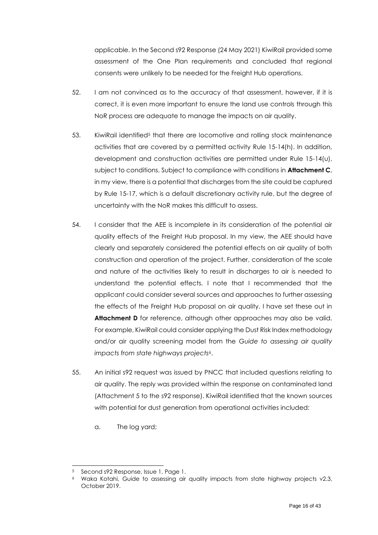applicable. In the Second s92 Response (24 May 2021) KiwiRail provided some assessment of the One Plan requirements and concluded that regional consents were unlikely to be needed for the Freight Hub operations.

- 52. I am not convinced as to the accuracy of that assessment, however, if it is correct, it is even more important to ensure the land use controls through this NoR process are adequate to manage the impacts on air quality.
- 53. KiwiRail identified<sup>5</sup> that there are locomotive and rolling stock maintenance activities that are covered by a permitted activity Rule 15-14(h). In addition, development and construction activities are permitted under Rule 15-14(u), subject to conditions. Subject to compliance with conditions in **Attachment C**, in my view, there is a potential that discharges from the site could be captured by Rule 15-17, which is a default discretionary activity rule, but the degree of uncertainty with the NoR makes this difficult to assess.
- 54. I consider that the AEE is incomplete in its consideration of the potential air quality effects of the Freight Hub proposal. In my view, the AEE should have clearly and separately considered the potential effects on air quality of both construction and operation of the project. Further, consideration of the scale and nature of the activities likely to result in discharges to air is needed to understand the potential effects. I note that I recommended that the applicant could consider several sources and approaches to further assessing the effects of the Freight Hub proposal on air quality. I have set these out in **Attachment D** for reference, although other approaches may also be valid. For example, KiwiRail could consider applying the Dust Risk Index methodology and/or air quality screening model from the *Guide to assessing air quality impacts from state highways projects*6.
- 55. An initial s92 request was issued by PNCC that included questions relating to air quality. The reply was provided within the response on contaminated land (Attachment 5 to the s92 response). KiwiRail identified that the known sources with potential for dust generation from operational activities included:
	- a. The log yard;

<sup>5</sup> Second s92 Response, Issue 1, Page 1.

<sup>6</sup> Waka Kotahi, Guide to assessing air quality impacts from state highway projects v2.3, October 2019.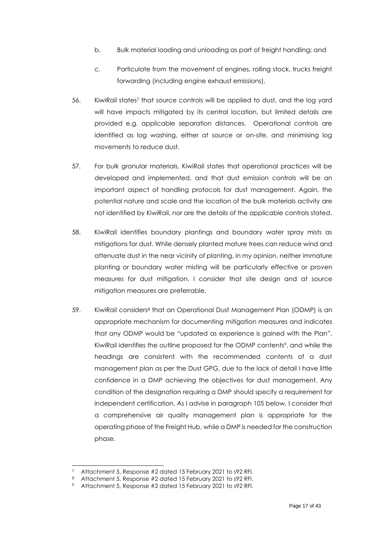- b. Bulk material loading and unloading as part of freight handling; and
- c. Particulate from the movement of engines, rolling stock, trucks freight forwarding (including engine exhaust emissions).
- 56. KiwiRail states<sup>7</sup> that source controls will be applied to dust, and the log yard will have impacts mitigated by its central location, but limited details are provided e.g. applicable separation distances. Operational controls are identified as log washing, either at source or on-site, and minimising log movements to reduce dust.
- 57. For bulk granular materials, KiwiRail states that operational practices will be developed and implemented, and that dust emission controls will be an important aspect of handling protocols for dust management. Again, the potential nature and scale and the location of the bulk materials activity are not identified by KiwiRail, nor are the details of the applicable controls stated.
- 58. KiwiRail identifies boundary plantings and boundary water spray mists as mitigations for dust. While densely planted mature trees can reduce wind and attenuate dust in the near vicinity of planting, in my opinion, neither immature planting or boundary water misting will be particularly effective or proven measures for dust mitigation. I consider that site design and at source mitigation measures are preferrable.
- 59. KiwiRail considers<sup>8</sup> that an Operational Dust Management Plan (ODMP) is an appropriate mechanism for documenting mitigation measures and indicates that any ODMP would be "updated as experience is gained with the Plan". KiwiRail identifies the outline proposed for the ODMP contents9, and while the headings are consistent with the recommended contents of a dust management plan as per the Dust GPG, due to the lack of detail I have little confidence in a DMP achieving the objectives for dust management. Any condition of the designation requiring a DMP should specify a requirement for independent certification. As I advise in paragraph 105 below, I consider that a comprehensive air quality management plan is appropriate for the operating phase of the Freight Hub, while a DMP is needed for the construction phase.

Attachment 5, Response #2 dated 15 February 2021 to s92 RFI.

<sup>8</sup> Attachment 5, Response #2 dated 15 February 2021 to s92 RFI.

<sup>9</sup> Attachment 5, Response #2 dated 15 February 2021 to s92 RFI.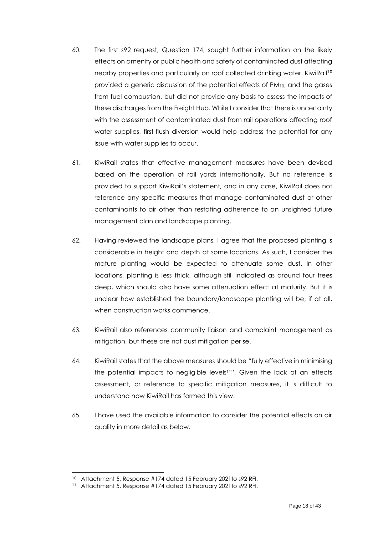- 60. The first s92 request, Question 174, sought further information on the likely effects on amenity or public health and safety of contaminated dust affecting nearby properties and particularly on roof collected drinking water. KiwiRail<sup>10</sup> provided a generic discussion of the potential effects of PM10, and the gases from fuel combustion, but did not provide any basis to assess the impacts of these discharges from the Freight Hub. While I consider that there is uncertainty with the assessment of contaminated dust from rail operations affecting roof water supplies, first-flush diversion would help address the potential for any issue with water supplies to occur.
- 61. KiwiRail states that effective management measures have been devised based on the operation of rail yards internationally. But no reference is provided to support KiwiRail's statement, and in any case, KiwiRail does not reference any specific measures that manage contaminated dust or other contaminants to air other than restating adherence to an unsighted future management plan and landscape planting.
- 62. Having reviewed the landscape plans, I agree that the proposed planting is considerable in height and depth at some locations. As such, I consider the mature planting would be expected to attenuate some dust. In other locations, planting is less thick, although still indicated as around four trees deep, which should also have some attenuation effect at maturity. But it is unclear how established the boundary/landscape planting will be, if at all, when construction works commence.
- 63. KiwiRail also references community liaison and complaint management as mitigation, but these are not dust mitigation per se.
- 64. KiwiRail states that the above measures should be "fully effective in minimising the potential impacts to negligible levels11". Given the lack of an effects assessment, or reference to specific mitigation measures, it is difficult to understand how KiwiRail has formed this view.
- 65. I have used the available information to consider the potential effects on air quality in more detail as below.

<sup>10</sup> Attachment 5, Response #174 dated 15 February 2021to s92 RFI.

<sup>11</sup> Attachment 5, Response #174 dated 15 February 2021to s92 RFI.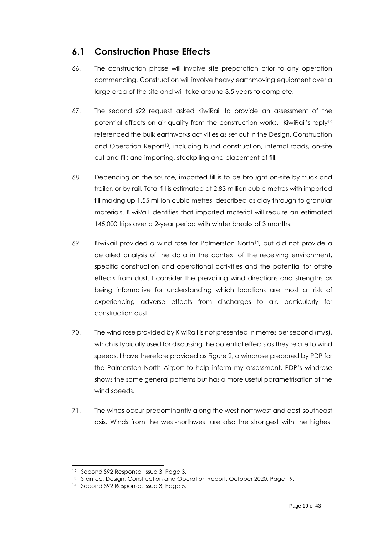### <span id="page-18-0"></span>**6.1 Construction Phase Effects**

- 66. The construction phase will involve site preparation prior to any operation commencing. Construction will involve heavy earthmoving equipment over a large area of the site and will take around 3.5 years to complete.
- 67. The second s92 request asked KiwiRail to provide an assessment of the potential effects on air quality from the construction works. KiwiRail's reply<sup>12</sup> referenced the bulk earthworks activities as set out in the Design, Construction and Operation Report<sup>13</sup>, including bund construction, internal roads, on-site cut and fill; and importing, stockpiling and placement of fill.
- 68. Depending on the source, imported fill is to be brought on-site by truck and trailer, or by rail. Total fill is estimated at 2.83 million cubic metres with imported fill making up 1.55 million cubic metres, described as clay through to granular materials. KiwiRail identifies that imported material will require an estimated 145,000 trips over a 2-year period with winter breaks of 3 months.
- 69. KiwiRail provided a wind rose for Palmerston North14, but did not provide a detailed analysis of the data in the context of the receiving environment, specific construction and operational activities and the potential for offsite effects from dust. I consider the prevailing wind directions and strengths as being informative for understanding which locations are most at risk of experiencing adverse effects from discharges to air, particularly for construction dust.
- 70. The wind rose provided by KiwiRail is not presented in metres per second (m/s), which is typically used for discussing the potential effects as they relate to wind speeds. I have therefore provided as Figure 2, a windrose prepared by PDP for the Palmerston North Airport to help inform my assessment. PDP's windrose shows the same general patterns but has a more useful parametrisation of the wind speeds.
- 71. The winds occur predominantly along the west-northwest and east-southeast axis. Winds from the west-northwest are also the strongest with the highest

<sup>&</sup>lt;sup>12</sup> Second S92 Response, Issue 3, Page 3.

<sup>13</sup> Stantec, Design, Construction and Operation Report, October 2020, Page 19.

<sup>14</sup> Second S92 Response, Issue 3, Page 5.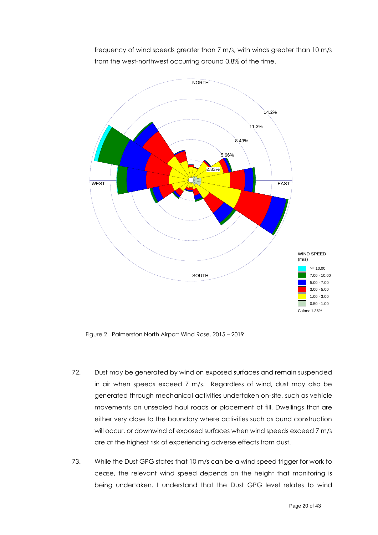frequency of wind speeds greater than 7 m/s, with winds greater than 10 m/s from the west-northwest occurring around 0.8% of the time.



<span id="page-19-0"></span>Figure 2. Palmerston North Airport Wind Rose, 2015 – 2019

- 72. Dust may be generated by wind on exposed surfaces and remain suspended in air when speeds exceed 7 m/s. Regardless of wind, dust may also be generated through mechanical activities undertaken on-site, such as vehicle movements on unsealed haul roads or placement of fill. Dwellings that are **23/10/2020 A02373800 3.37 m/s** either very close to the boundary where activities such as bund construction will occur, or downwind of exposed surfaces when wind speeds exceed 7 m/s are at the highest risk of experiencing adverse effects from dust.
- 73. While the Dust GPG states that 10 m/s can be a wind speed trigger for work to cease, the relevant wind speed depends on the height that monitoring is being undertaken. I understand that the Dust GPG level relates to wind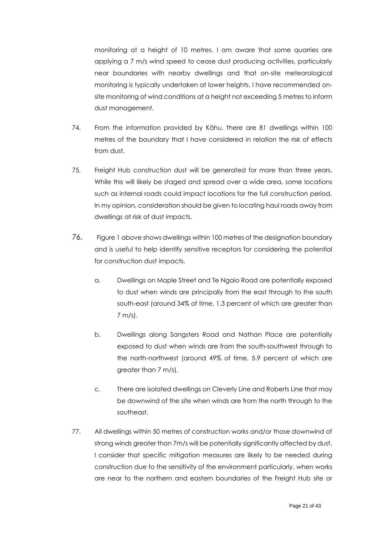monitoring at a height of 10 metres. I am aware that some quarries are applying a 7 m/s wind speed to cease dust producing activities, particularly near boundaries with nearby dwellings and that on-site meteorological monitoring is typically undertaken at lower heights. I have recommended onsite monitoring of wind conditions at a height not exceeding 5 metres to inform dust management.

- 74. From the information provided by Kāhu, there are 81 dwellings within 100 metres of the boundary that I have considered in relation the risk of effects from dust.
- 75. Freight Hub construction dust will be generated for more than three years. While this will likely be staged and spread over a wide area, some locations such as internal roads could impact locations for the full construction period. In my opinion, consideration should be given to locating haul roads away from dwellings at risk of dust impacts.
- 76. Figure 1 above shows dwellings within 100 metres of the designation boundary and is useful to help identify sensitive receptors for considering the potential for construction dust impacts.
	- a. Dwellings on Maple Street and Te Ngaio Road are potentially exposed to dust when winds are principally from the east through to the south south-east (around 34% of time, 1.3 percent of which are greater than 7 m/s).
	- b. Dwellings along Sangsters Road and Nathan Place are potentially exposed to dust when winds are from the south-southwest through to the north-northwest (around 49% of time, 5.9 percent of which are greater than 7 m/s).
	- c. There are isolated dwellings on Cleverly Line and Roberts Line that may be downwind of the site when winds are from the north through to the southeast.
- 77. All dwellings within 50 metres of construction works and/or those downwind of strong winds greater than 7m/s will be potentially significantly affected by dust. I consider that specific mitigation measures are likely to be needed during construction due to the sensitivity of the environment particularly, when works are near to the northern and eastern boundaries of the Freight Hub site or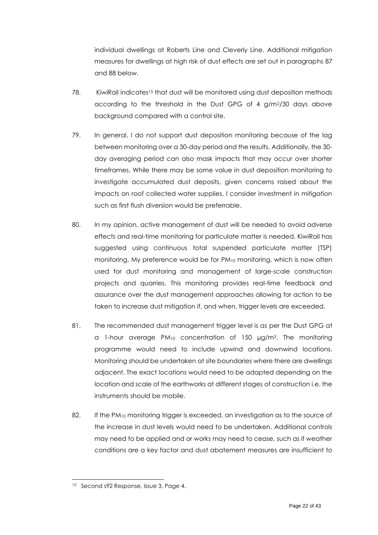individual dwellings at Roberts Line and Cleverly Line. Additional mitigation measures for dwellings at high risk of dust effects are set out in paragraphs 87 and 88 below.

- 78. KiwiRail indicates<sup>15</sup> that dust will be monitored using dust deposition methods according to the threshold in the Dust GPG of 4 g/m2/30 days above background compared with a control site.
- 79. In general, I do not support dust deposition monitoring because of the lag between monitoring over a 30-day period and the results. Additionally, the 30 day averaging period can also mask impacts that may occur over shorter timeframes. While there may be some value in dust deposition monitoring to investigate accumulated dust deposits, given concerns raised about the impacts on roof collected water supplies, I consider investment in mitigation such as first flush diversion would be preferrable.
- 80. In my opinion, active management of dust will be needed to avoid adverse effects and real-time monitoring for particulate matter is needed. KiwiRail has suggested using continuous total suspended particulate matter (TSP) monitoring. My preference would be for PM<sub>10</sub> monitoring, which is now often used for dust monitoring and management of large-scale construction projects and quarries. This monitoring provides real-time feedback and assurance over the dust management approaches allowing for action to be taken to increase dust mitigation if, and when, trigger levels are exceeded.
- 81. The recommended dust management trigger level is as per the Dust GPG at a 1-hour average  $PM_{10}$  concentration of 150  $\mu$ g/m<sup>3</sup>. The monitoring programme would need to include upwind and downwind locations. Monitoring should be undertaken at site boundaries where there are dwellings adjacent. The exact locations would need to be adapted depending on the location and scale of the earthworks at different stages of construction i.e. the instruments should be mobile.
- 82. If the  $PM_{10}$  monitoring trigger is exceeded, an investigation as to the source of the increase in dust levels would need to be undertaken. Additional controls may need to be applied and or works may need to cease, such as if weather conditions are a key factor and dust abatement measures are insufficient to

<sup>15</sup> Second s92 Response, Issue 3, Page 4.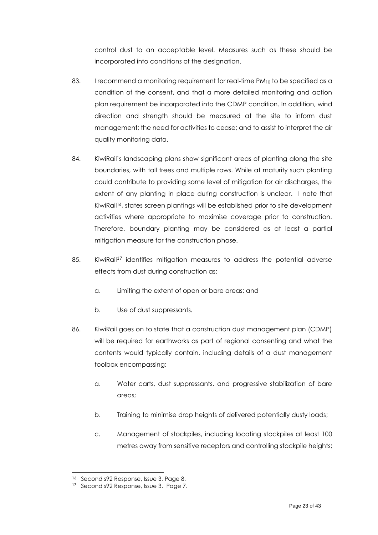control dust to an acceptable level. Measures such as these should be incorporated into conditions of the designation.

- 83. I recommend a monitoring requirement for real-time  $PM_{10}$  to be specified as a condition of the consent, and that a more detailed monitoring and action plan requirement be incorporated into the CDMP condition. In addition, wind direction and strength should be measured at the site to inform dust management; the need for activities to cease; and to assist to interpret the air quality monitoring data.
- 84. KiwiRail's landscaping plans show significant areas of planting along the site boundaries, with tall trees and multiple rows. While at maturity such planting could contribute to providing some level of mitigation for air discharges, the extent of any planting in place during construction is unclear. I note that KiwiRail<sup>16</sup>, states screen plantings will be established prior to site development activities where appropriate to maximise coverage prior to construction. Therefore, boundary planting may be considered as at least a partial mitigation measure for the construction phase.
- 85. KiwiRail<sup>17</sup> identifies mitigation measures to address the potential adverse effects from dust during construction as:
	- a. Limiting the extent of open or bare areas; and
	- b. Use of dust suppressants.
- 86. KiwiRail goes on to state that a construction dust management plan (CDMP) will be required for earthworks as part of regional consenting and what the contents would typically contain, including details of a dust management toolbox encompassing:
	- a. Water carts, dust suppressants, and progressive stabilization of bare areas;
	- b. Training to minimise drop heights of delivered potentially dusty loads;
	- c. Management of stockpiles, including locating stockpiles at least 100 metres away from sensitive receptors and controlling stockpile heights;

<sup>16</sup> Second s92 Response, Issue 3, Page 8.

<sup>&</sup>lt;sup>17</sup> Second s92 Response, Issue 3, Page 7.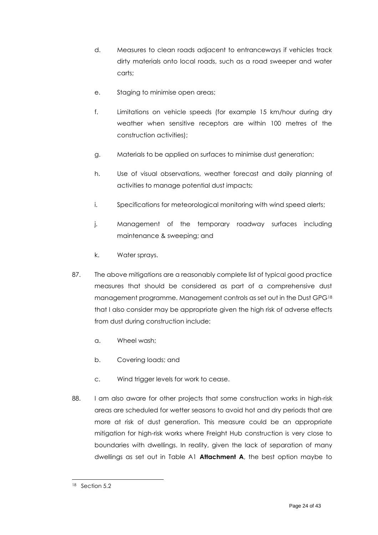- d. Measures to clean roads adjacent to entranceways if vehicles track dirty materials onto local roads, such as a road sweeper and water carts;
- e. Staging to minimise open areas;
- f. Limitations on vehicle speeds (for example 15 km/hour during dry weather when sensitive receptors are within 100 metres of the construction activities);
- g. Materials to be applied on surfaces to minimise dust generation;
- h. Use of visual observations, weather forecast and daily planning of activities to manage potential dust impacts;
- i. Specifications for meteorological monitoring with wind speed alerts;
- j. Management of the temporary roadway surfaces including maintenance & sweeping; and
- k. Water sprays.
- 87. The above mitigations are a reasonably complete list of typical good practice measures that should be considered as part of a comprehensive dust management programme. Management controls as set out in the Dust GPG<sup>18</sup> that I also consider may be appropriate given the high risk of adverse effects from dust during construction include:
	- a. Wheel wash;
	- b. Covering loads; and
	- c. Wind trigger levels for work to cease.
- 88. I am also aware for other projects that some construction works in high-risk areas are scheduled for wetter seasons to avoid hot and dry periods that are more at risk of dust generation. This measure could be an appropriate mitigation for high-risk works where Freight Hub construction is very close to boundaries with dwellings. In reality, given the lack of separation of many dwellings as set out in Table A1 **Attachment A**, the best option maybe to

<sup>18</sup> Section 5.2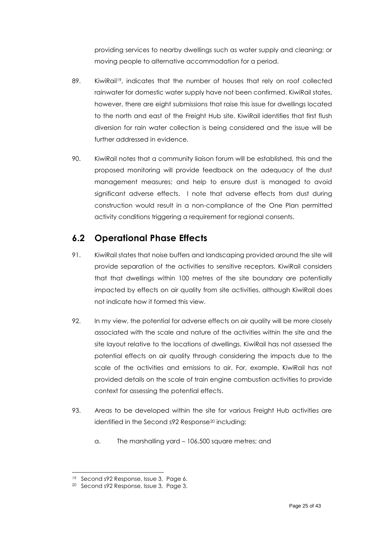providing services to nearby dwellings such as water supply and cleaning; or moving people to alternative accommodation for a period.

- 89. KiwiRail<sup>19</sup>, indicates that the number of houses that rely on roof collected rainwater for domestic water supply have not been confirmed. KiwiRail states, however, there are eight submissions that raise this issue for dwellings located to the north and east of the Freight Hub site. KiwiRail identifies that first flush diversion for rain water collection is being considered and the issue will be further addressed in evidence.
- 90. KiwiRail notes that a community liaison forum will be established, this and the proposed monitoring will provide feedback on the adequacy of the dust management measures; and help to ensure dust is managed to avoid significant adverse effects. I note that adverse effects from dust during construction would result in a non-compliance of the One Plan permitted activity conditions triggering a requirement for regional consents.

### <span id="page-24-0"></span>**6.2 Operational Phase Effects**

- 91. KiwiRail states that noise buffers and landscaping provided around the site will provide separation of the activities to sensitive receptors. KiwiRail considers that that dwellings within 100 metres of the site boundary are potentially impacted by effects on air quality from site activities, although KiwiRail does not indicate how it formed this view.
- 92. In my view, the potential for adverse effects on air quality will be more closely associated with the scale and nature of the activities within the site and the site layout relative to the locations of dwellings. KiwiRail has not assessed the potential effects on air quality through considering the impacts due to the scale of the activities and emissions to air. For, example, KiwiRail has not provided details on the scale of train engine combustion activities to provide context for assessing the potential effects.
- 93. Areas to be developed within the site for various Freight Hub activities are identified in the Second s92 Response<sup>20</sup> including:
	- a. The marshalling yard 106,500 square metres; and

<sup>19</sup> Second s92 Response, Issue 3, Page 6.

<sup>20</sup> Second s92 Response, Issue 3, Page 3.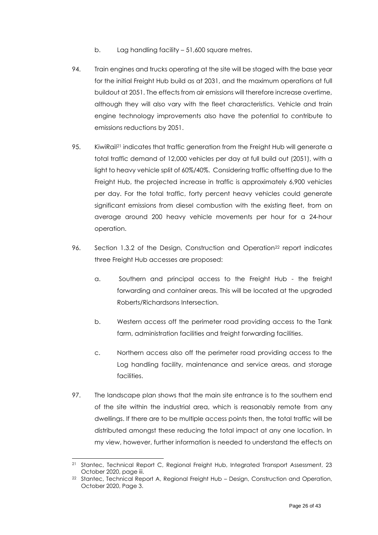- b. Lag handling facility 51,600 square metres.
- 94. Train engines and trucks operating at the site will be staged with the base year for the initial Freight Hub build as at 2031, and the maximum operations at full buildout at 2051. The effects from air emissions will therefore increase overtime, although they will also vary with the fleet characteristics. Vehicle and train engine technology improvements also have the potential to contribute to emissions reductions by 2051.
- 95. KiwiRail<sup>21</sup> indicates that traffic generation from the Freight Hub will generate a total traffic demand of 12,000 vehicles per day at full build out (2051), with a light to heavy vehicle split of 60%/40%. Considering traffic offsetting due to the Freight Hub, the projected increase in traffic is approximately 6,900 vehicles per day. For the total traffic, forty percent heavy vehicles could generate significant emissions from diesel combustion with the existing fleet, from on average around 200 heavy vehicle movements per hour for a 24-hour operation.
- 96. Section 1.3.2 of the Design, Construction and Operation<sup>22</sup> report indicates three Freight Hub accesses are proposed:
	- a. Southern and principal access to the Freight Hub the freight forwarding and container areas. This will be located at the upgraded Roberts/Richardsons Intersection.
	- b. Western access off the perimeter road providing access to the Tank farm, administration facilities and freight forwarding facilities.
	- c. Northern access also off the perimeter road providing access to the Log handling facility, maintenance and service areas, and storage facilities.
- 97. The landscape plan shows that the main site entrance is to the southern end of the site within the industrial area, which is reasonably remote from any dwellings. If there are to be multiple access points then, the total traffic will be distributed amongst these reducing the total impact at any one location. In my view, however, further information is needed to understand the effects on

<sup>21</sup> Stantec, Technical Report C, Regional Freight Hub, Integrated Transport Assessment, 23 October 2020, page iii.

<sup>22</sup> Stantec, Technical Report A, Regional Freight Hub – Design, Construction and Operation, October 2020, Page 3.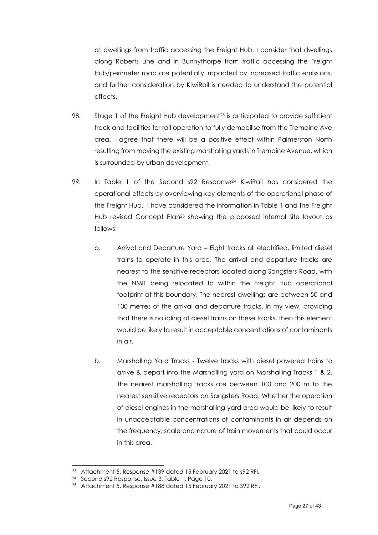at dwellings from traffic accessing the Freight Hub. I consider that dwellings along Roberts Line and in Bunnythorpe from traffic accessing the Freight Hub/perimeter road are potentially impacted by increased traffic emissions, and further consideration by KiwiRail is needed to understand the potential effects.

- 98. Stage 1 of the Freight Hub development<sup>23</sup> is anticipated to provide sufficient track and facilities for rail operation to fully demobilise from the Tremaine Ave area. I agree that there will be a positive effect within Palmerston North resulting from moving the existing marshalling yards in Tremaine Avenue, which is surrounded by urban development.
- 99. In Table 1 of the Second s92 Response<sup>24</sup> KiwiRail has considered the operational effects by overviewing key elements of the operational phase of the Freight Hub. I have considered the information in Table 1 and the Freight Hub revised Concept Plan<sup>25</sup> showing the proposed internal site layout as follows:
	- a. Arrival and Departure Yard Eight tracks all electrified, limited diesel trains to operate in this area. The arrival and departure tracks are nearest to the sensitive receptors located along Sangsters Road, with the NMIT being relocated to within the Freight Hub operational footprint at this boundary. The nearest dwellings are between 50 and 100 metres of the arrival and departure tracks. In my view, providing that there is no idling of diesel trains on these tracks, then this element would be likely to result in acceptable concentrations of contaminants in air.
	- b. Marshalling Yard Tracks Twelve tracks with diesel powered trains to arrive & depart into the Marshalling yard on Marshalling Tracks 1 & 2. The nearest marshalling tracks are between 100 and 200 m to the nearest sensitive receptors on Sangsters Road. Whether the operation of diesel engines in the marshalling yard area would be likely to result in unacceptable concentrations of contaminants in air depends on the frequency, scale and nature of train movements that could occur in this area.

<sup>23</sup> Attachment 5, Response #139 dated 15 February 2021 to s92 RFI.

<sup>24</sup> Second s92 Response, Issue 3, Table 1, Page 10.

<sup>25</sup> Attachment 5, Response #188 dated 15 February 2021 to S92 RFI.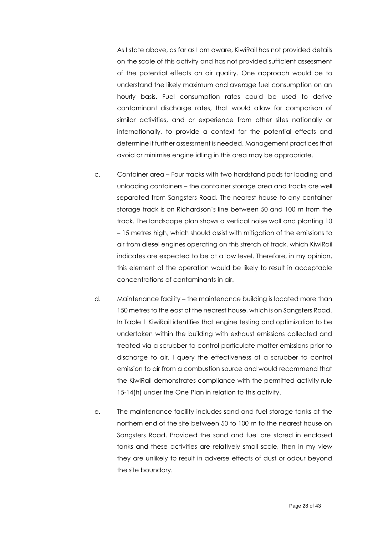As I state above, as far as I am aware, KiwiRail has not provided details on the scale of this activity and has not provided sufficient assessment of the potential effects on air quality. One approach would be to understand the likely maximum and average fuel consumption on an hourly basis. Fuel consumption rates could be used to derive contaminant discharge rates, that would allow for comparison of similar activities, and or experience from other sites nationally or internationally, to provide a context for the potential effects and determine if further assessment is needed. Management practices that avoid or minimise engine idling in this area may be appropriate.

- c. Container area Four tracks with two hardstand pads for loading and unloading containers – the container storage area and tracks are well separated from Sangsters Road. The nearest house to any container storage track is on Richardson's line between 50 and 100 m from the track. The landscape plan shows a vertical noise wall and planting 10 – 15 metres high, which should assist with mitigation of the emissions to air from diesel engines operating on this stretch of track, which KiwiRail indicates are expected to be at a low level. Therefore, in my opinion, this element of the operation would be likely to result in acceptable concentrations of contaminants in air.
- d. Maintenance facility the maintenance building is located more than 150 metres to the east of the nearest house, which is on Sangsters Road. In Table 1 KiwiRail identifies that engine testing and optimization to be undertaken within the building with exhaust emissions collected and treated via a scrubber to control particulate matter emissions prior to discharge to air. I query the effectiveness of a scrubber to control emission to air from a combustion source and would recommend that the KiwiRail demonstrates compliance with the permitted activity rule 15-14(h) under the One Plan in relation to this activity.
- e. The maintenance facility includes sand and fuel storage tanks at the northern end of the site between 50 to 100 m to the nearest house on Sangsters Road. Provided the sand and fuel are stored in enclosed tanks and these activities are relatively small scale, then in my view they are unlikely to result in adverse effects of dust or odour beyond the site boundary.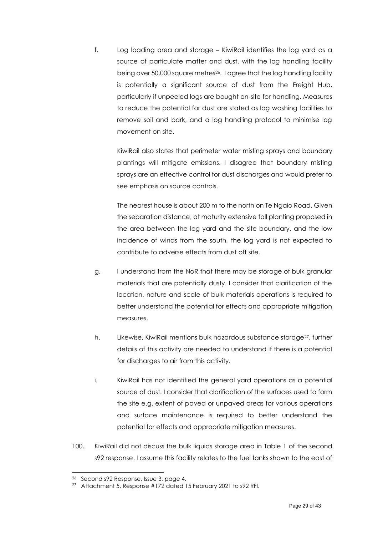f. Log loading area and storage – KiwiRail identifies the log yard as a source of particulate matter and dust, with the log handling facility being over 50,000 square metres26. I agree that the log handling facility is potentially a significant source of dust from the Freight Hub, particularly if unpeeled logs are bought on-site for handling. Measures to reduce the potential for dust are stated as log washing facilities to remove soil and bark, and a log handling protocol to minimise log movement on site.

KiwiRail also states that perimeter water misting sprays and boundary plantings will mitigate emissions. I disagree that boundary misting sprays are an effective control for dust discharges and would prefer to see emphasis on source controls.

The nearest house is about 200 m to the north on Te Ngaio Road. Given the separation distance, at maturity extensive tall planting proposed in the area between the log yard and the site boundary, and the low incidence of winds from the south, the log yard is not expected to contribute to adverse effects from dust off site.

- g. I understand from the NoR that there may be storage of bulk granular materials that are potentially dusty. I consider that clarification of the location, nature and scale of bulk materials operations is required to better understand the potential for effects and appropriate mitigation measures.
- h. Likewise, KiwiRail mentions bulk hazardous substance storage<sup>27</sup>, further details of this activity are needed to understand if there is a potential for discharges to air from this activity.
- i. KiwiRail has not identified the general yard operations as a potential source of dust. I consider that clarification of the surfaces used to form the site e.g. extent of paved or unpaved areas for various operations and surface maintenance is required to better understand the potential for effects and appropriate mitigation measures.
- 100. KiwiRail did not discuss the bulk liquids storage area in Table 1 of the second s92 response. I assume this facility relates to the fuel tanks shown to the east of

<sup>26</sup> Second s92 Response, Issue 3, page 4.

<sup>27</sup> Attachment 5, Response #172 dated 15 February 2021 to s92 RFI.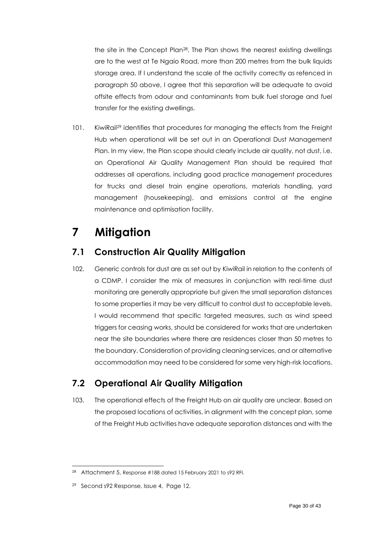the site in the Concept Plan28. The Plan shows the nearest existing dwellings are to the west at Te Ngaio Road, more than 200 metres from the bulk liquids storage area. If I understand the scale of the activity correctly as refenced in paragraph 50 above, I agree that this separation will be adequate to avoid offsite effects from odour and contaminants from bulk fuel storage and fuel transfer for the existing dwellings.

101. KiwiRail<sup>29</sup> identifies that procedures for managing the effects from the Freight Hub when operational will be set out in an Operational Dust Management Plan. In my view, the Plan scope should clearly include air quality, not dust, i.e. an Operational Air Quality Management Plan should be required that addresses all operations, including good practice management procedures for trucks and diesel train engine operations, materials handling, yard management (housekeeping), and emissions control at the engine maintenance and optimisation facility.

# <span id="page-29-0"></span>**7 Mitigation**

### <span id="page-29-1"></span>**7.1 Construction Air Quality Mitigation**

102. Generic controls for dust are as set out by KiwiRail in relation to the contents of a CDMP. I consider the mix of measures in conjunction with real-time dust monitoring are generally appropriate but given the small separation distances to some properties it may be very difficult to control dust to acceptable levels. I would recommend that specific targeted measures, such as wind speed triggers for ceasing works, should be considered for works that are undertaken near the site boundaries where there are residences closer than 50 metres to the boundary. Consideration of providing cleaning services, and or alternative accommodation may need to be considered for some very high-risk locations.

## <span id="page-29-2"></span>**7.2 Operational Air Quality Mitigation**

103. The operational effects of the Freight Hub on air quality are unclear. Based on the proposed locations of activities, in alignment with the concept plan, some of the Freight Hub activities have adequate separation distances and with the

<sup>28</sup> Attachment 5, Response #188 dated 15 February 2021 to s92 RFI.

<sup>&</sup>lt;sup>29</sup> Second s92 Response, Issue 4, Page 12.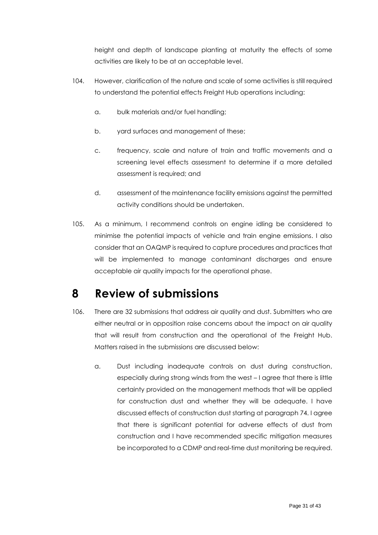height and depth of landscape planting at maturity the effects of some activities are likely to be at an acceptable level.

- 104. However, clarification of the nature and scale of some activities is still required to understand the potential effects Freight Hub operations including:
	- a. bulk materials and/or fuel handling;
	- b. yard surfaces and management of these;
	- c. frequency, scale and nature of train and traffic movements and a screening level effects assessment to determine if a more detailed assessment is required; and
	- d. assessment of the maintenance facility emissions against the permitted activity conditions should be undertaken.
- 105. As a minimum, I recommend controls on engine idling be considered to minimise the potential impacts of vehicle and train engine emissions. I also consider that an OAQMP is required to capture procedures and practices that will be implemented to manage contaminant discharges and ensure acceptable air quality impacts for the operational phase.

# <span id="page-30-0"></span>**8 Review of submissions**

- 106. There are 32 submissions that address air quality and dust. Submitters who are either neutral or in opposition raise concerns about the impact on air quality that will result from construction and the operational of the Freight Hub. Matters raised in the submissions are discussed below:
	- a. Dust including inadequate controls on dust during construction, especially during strong winds from the west – I agree that there is little certainty provided on the management methods that will be applied for construction dust and whether they will be adequate. I have discussed effects of construction dust starting at paragraph 74. I agree that there is significant potential for adverse effects of dust from construction and I have recommended specific mitigation measures be incorporated to a CDMP and real-time dust monitoring be required.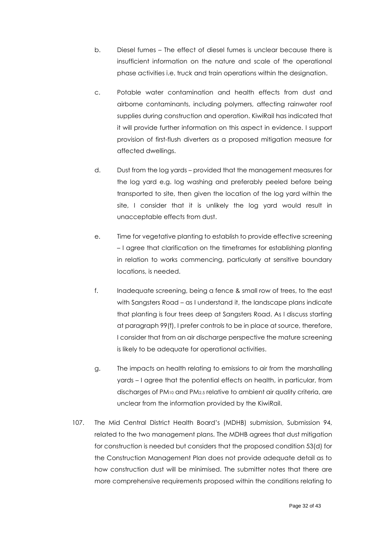- b. Diesel fumes The effect of diesel fumes is unclear because there is insufficient information on the nature and scale of the operational phase activities i.e. truck and train operations within the designation.
- c. Potable water contamination and health effects from dust and airborne contaminants, including polymers, affecting rainwater roof supplies during construction and operation. KiwiRail has indicated that it will provide further information on this aspect in evidence. I support provision of first-flush diverters as a proposed mitigation measure for affected dwellings.
- d. Dust from the log yards provided that the management measures for the log yard e.g. log washing and preferably peeled before being transported to site, then given the location of the log yard within the site, I consider that it is unlikely the log yard would result in unacceptable effects from dust.
- e. Time for vegetative planting to establish to provide effective screening – I agree that clarification on the timeframes for establishing planting in relation to works commencing, particularly at sensitive boundary locations, is needed.
- f. Inadequate screening, being a fence & small row of trees, to the east with Sangsters Road – as I understand it, the landscape plans indicate that planting is four trees deep at Sangsters Road. As I discuss starting at paragraph 99(f), I prefer controls to be in place at source, therefore, I consider that from an air discharge perspective the mature screening is likely to be adequate for operational activities.
- g. The impacts on health relating to emissions to air from the marshalling yards – I agree that the potential effects on health, in particular, from discharges of PM<sup>10</sup> and PM2.5 relative to ambient air quality criteria, are unclear from the information provided by the KiwiRail.
- 107. The Mid Central District Health Board's (MDHB) submission, Submission 94, related to the two management plans. The MDHB agrees that dust mitigation for construction is needed but considers that the proposed condition 53(d) for the Construction Management Plan does not provide adequate detail as to how construction dust will be minimised. The submitter notes that there are more comprehensive requirements proposed within the conditions relating to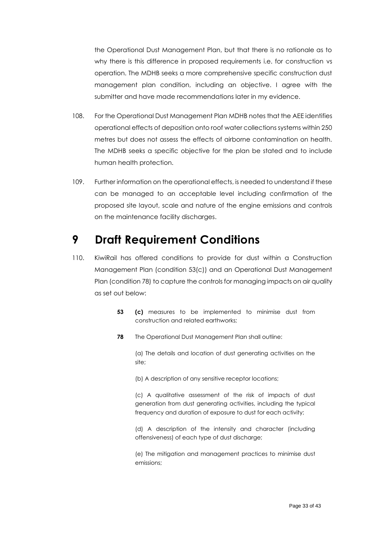the Operational Dust Management Plan, but that there is no rationale as to why there is this difference in proposed requirements i.e. for construction vs operation. The MDHB seeks a more comprehensive specific construction dust management plan condition, including an objective. I agree with the submitter and have made recommendations later in my evidence.

- 108. For the Operational Dust Management Plan MDHB notes that the AEE identifies operational effects of deposition onto roof water collections systems within 250 metres but does not assess the effects of airborne contamination on health. The MDHB seeks a specific objective for the plan be stated and to include human health protection.
- 109. Further information on the operational effects, is needed to understand if these can be managed to an acceptable level including confirmation of the proposed site layout, scale and nature of the engine emissions and controls on the maintenance facility discharges.

## <span id="page-32-0"></span>**9 Draft Requirement Conditions**

- 110. KiwiRail has offered conditions to provide for dust within a Construction Management Plan (condition 53(c)) and an Operational Dust Management Plan (condition 78) to capture the controls for managing impacts on air quality as set out below:
	- **53 (c)** measures to be implemented to minimise dust from construction and related earthworks;
	- **78** The Operational Dust Management Plan shall outline:

(a) The details and location of dust generating activities on the site;

(b) A description of any sensitive receptor locations;

(c) A qualitative assessment of the risk of impacts of dust generation from dust generating activities, including the typical frequency and duration of exposure to dust for each activity;

(d) A description of the intensity and character (including offensiveness) of each type of dust discharge;

(e) The mitigation and management practices to minimise dust emissions;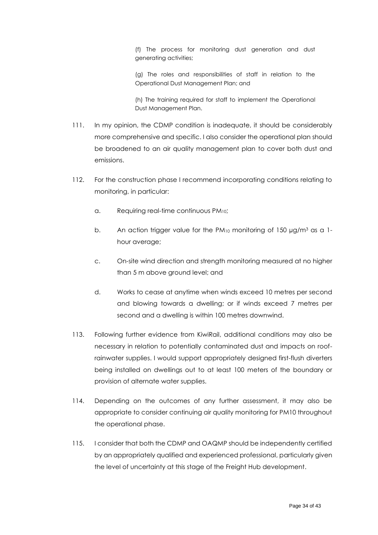(f) The process for monitoring dust generation and dust generating activities;

(g) The roles and responsibilities of staff in relation to the Operational Dust Management Plan; and

(h) The training required for staff to implement the Operational Dust Management Plan.

- 111. In my opinion, the CDMP condition is inadequate, it should be considerably more comprehensive and specific. I also consider the operational plan should be broadened to an air quality management plan to cover both dust and emissions.
- 112. For the construction phase I recommend incorporating conditions relating to monitoring, in particular:
	- a. Requiring real-time continuous PM10;
	- b. An action trigger value for the  $PM_{10}$  monitoring of 150  $\mu$ g/m<sup>3</sup> as a 1hour average;
	- c. On-site wind direction and strength monitoring measured at no higher than 5 m above ground level; and
	- d. Works to cease at anytime when winds exceed 10 metres per second and blowing towards a dwelling; or if winds exceed 7 metres per second and a dwelling is within 100 metres downwind.
- 113. Following further evidence from KiwiRail, additional conditions may also be necessary in relation to potentially contaminated dust and impacts on roofrainwater supplies. I would support appropriately designed first-flush diverters being installed on dwellings out to at least 100 meters of the boundary or provision of alternate water supplies.
- 114. Depending on the outcomes of any further assessment, it may also be appropriate to consider continuing air quality monitoring for PM10 throughout the operational phase.
- 115. I consider that both the CDMP and OAQMP should be independently certified by an appropriately qualified and experienced professional, particularly given the level of uncertainty at this stage of the Freight Hub development.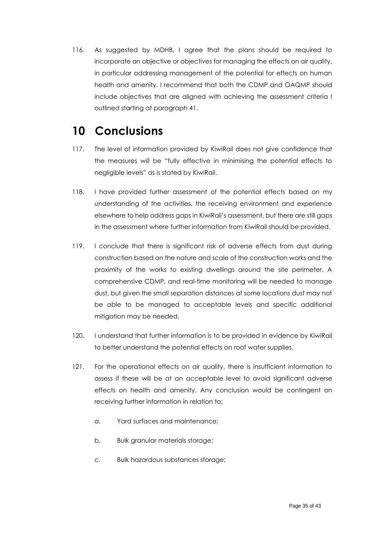116. As suggested by MDHB, I agree that the plans should be required to incorporate an objective or objectives for managing the effects on air quality, in particular addressing management of the potential for effects on human health and amenity. I recommend that both the CDMP and OAQMP should include objectives that are aligned with achieving the assessment criteria I outlined starting at paragraph 41.

# <span id="page-34-0"></span>**10 Conclusions**

- 117. The level of information provided by KiwiRail does not give confidence that the measures will be "fully effective in minimising the potential effects to negligible levels" as is stated by KiwiRail.
- 118. I have provided further assessment of the potential effects based on my understanding of the activities, the receiving environment and experience elsewhere to help address gaps in KiwiRail's assessment, but there are still gaps in the assessment where further information from KiwiRail should be provided.
- 119. I conclude that there is significant risk of adverse effects from dust during construction based on the nature and scale of the construction works and the proximity of the works to existing dwellings around the site perimeter. A comprehensive CDMP, and real-time monitoring will be needed to manage dust, but given the small separation distances at some locations dust may not be able to be managed to acceptable levels and specific additional mitigation may be needed.
- 120. I understand that further information is to be provided in evidence by KiwiRail to better understand the potential effects on roof water supplies.
- 121. For the operational effects on air quality, there is insufficient information to assess if these will be at an acceptable level to avoid significant adverse effects on health and amenity. Any conclusion would be contingent on receiving further information in relation to:
	- a. Yard surfaces and maintenance;
	- b. Bulk granular materials storage;
	- c. Bulk hazardous substances storage;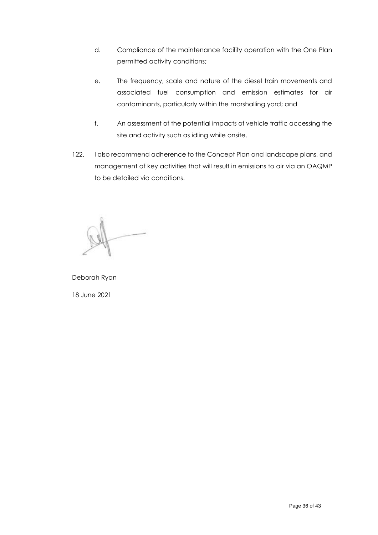- d. Compliance of the maintenance facility operation with the One Plan permitted activity conditions;
- e. The frequency, scale and nature of the diesel train movements and associated fuel consumption and emission estimates for air contaminants, particularly within the marshalling yard; and
- f. An assessment of the potential impacts of vehicle traffic accessing the site and activity such as idling while onsite.
- 122. I also recommend adherence to the Concept Plan and landscape plans, and management of key activities that will result in emissions to air via an OAQMP to be detailed via conditions.

Deborah Ryan 18 June 2021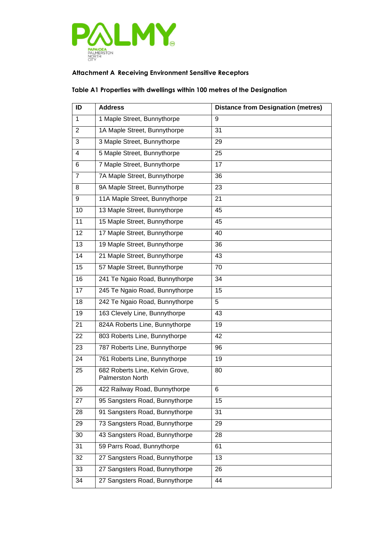

### **Attachment A Receiving Environment Sensitive Receptors**

#### **Table A1 Properties with dwellings within 100 metres of the Designation**

| ID             | <b>Address</b>                                             | <b>Distance from Designation (metres)</b> |
|----------------|------------------------------------------------------------|-------------------------------------------|
| 1              | 1 Maple Street, Bunnythorpe                                | 9                                         |
| $\overline{2}$ | 1A Maple Street, Bunnythorpe                               | 31                                        |
| 3              | 3 Maple Street, Bunnythorpe                                | 29                                        |
| 4              | 5 Maple Street, Bunnythorpe                                | 25                                        |
| 6              | 7 Maple Street, Bunnythorpe                                | 17                                        |
| 7              | 7A Maple Street, Bunnythorpe                               | 36                                        |
| 8              | 9A Maple Street, Bunnythorpe                               | 23                                        |
| 9              | 11A Maple Street, Bunnythorpe                              | 21                                        |
| 10             | 13 Maple Street, Bunnythorpe                               | 45                                        |
| 11             | 15 Maple Street, Bunnythorpe                               | 45                                        |
| 12             | 17 Maple Street, Bunnythorpe                               | 40                                        |
| 13             | 19 Maple Street, Bunnythorpe                               | 36                                        |
| 14             | 21 Maple Street, Bunnythorpe                               | 43                                        |
| 15             | 57 Maple Street, Bunnythorpe                               | 70                                        |
| 16             | 241 Te Ngaio Road, Bunnythorpe                             | 34                                        |
| 17             | 245 Te Ngaio Road, Bunnythorpe                             | 15                                        |
| 18             | 242 Te Ngaio Road, Bunnythorpe                             | 5                                         |
| 19             | 163 Clevely Line, Bunnythorpe                              | 43                                        |
| 21             | 824A Roberts Line, Bunnythorpe                             | 19                                        |
| 22             | 803 Roberts Line, Bunnythorpe                              | 42                                        |
| 23             | 787 Roberts Line, Bunnythorpe                              | 96                                        |
| 24             | 761 Roberts Line, Bunnythorpe                              | 19                                        |
| 25             | 682 Roberts Line, Kelvin Grove,<br><b>Palmerston North</b> | 80                                        |
| 26             | 422 Railway Road, Bunnythorpe                              | 6                                         |
| 27             | 95 Sangsters Road, Bunnythorpe                             | 15                                        |
| 28             | 91 Sangsters Road, Bunnythorpe                             | 31                                        |
| 29             | 73 Sangsters Road, Bunnythorpe                             | 29                                        |
| 30             | 43 Sangsters Road, Bunnythorpe                             | 28                                        |
| 31             | 59 Parrs Road, Bunnythorpe                                 | 61                                        |
| 32             | 27 Sangsters Road, Bunnythorpe                             | 13                                        |
| 33             | 27 Sangsters Road, Bunnythorpe                             | 26                                        |
| 34             | 27 Sangsters Road, Bunnythorpe                             | 44                                        |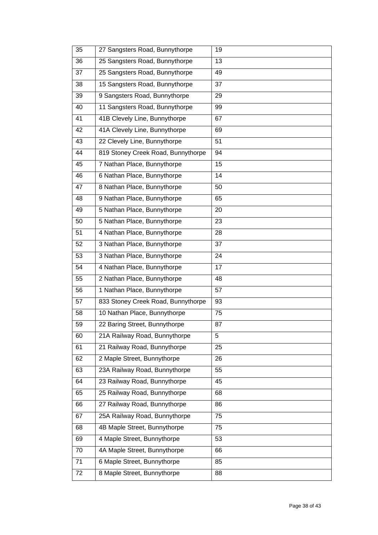| 35 | 27 Sangsters Road, Bunnythorpe     | 19 |
|----|------------------------------------|----|
| 36 | 25 Sangsters Road, Bunnythorpe     | 13 |
| 37 | 25 Sangsters Road, Bunnythorpe     | 49 |
| 38 | 15 Sangsters Road, Bunnythorpe     | 37 |
| 39 | 9 Sangsters Road, Bunnythorpe      | 29 |
| 40 | 11 Sangsters Road, Bunnythorpe     | 99 |
| 41 | 41B Clevely Line, Bunnythorpe      | 67 |
| 42 | 41A Clevely Line, Bunnythorpe      | 69 |
| 43 | 22 Clevely Line, Bunnythorpe       | 51 |
| 44 | 819 Stoney Creek Road, Bunnythorpe | 94 |
| 45 | 7 Nathan Place, Bunnythorpe        | 15 |
| 46 | 6 Nathan Place, Bunnythorpe        | 14 |
| 47 | 8 Nathan Place, Bunnythorpe        | 50 |
| 48 | 9 Nathan Place, Bunnythorpe        | 65 |
| 49 | 5 Nathan Place, Bunnythorpe        | 20 |
| 50 | 5 Nathan Place, Bunnythorpe        | 23 |
| 51 | 4 Nathan Place, Bunnythorpe        | 28 |
| 52 | 3 Nathan Place, Bunnythorpe        | 37 |
| 53 | 3 Nathan Place, Bunnythorpe        | 24 |
| 54 | 4 Nathan Place, Bunnythorpe        | 17 |
| 55 | 2 Nathan Place, Bunnythorpe        | 48 |
| 56 | 1 Nathan Place, Bunnythorpe        | 57 |
| 57 | 833 Stoney Creek Road, Bunnythorpe | 93 |
| 58 | 10 Nathan Place, Bunnythorpe       | 75 |
| 59 | 22 Baring Street, Bunnythorpe      | 87 |
| 60 | 21A Railway Road, Bunnythorpe      | 5  |
| 61 | 21 Railway Road, Bunnythorpe       | 25 |
| 62 | 2 Maple Street, Bunnythorpe        | 26 |
| 63 | 23A Railway Road, Bunnythorpe      | 55 |
| 64 | 23 Railway Road, Bunnythorpe       | 45 |
| 65 | 25 Railway Road, Bunnythorpe       | 68 |
| 66 | 27 Railway Road, Bunnythorpe       | 86 |
| 67 | 25A Railway Road, Bunnythorpe      | 75 |
| 68 | 4B Maple Street, Bunnythorpe       | 75 |
| 69 | 4 Maple Street, Bunnythorpe        | 53 |
| 70 | 4A Maple Street, Bunnythorpe       | 66 |
| 71 | 6 Maple Street, Bunnythorpe        | 85 |
| 72 | 8 Maple Street, Bunnythorpe        | 88 |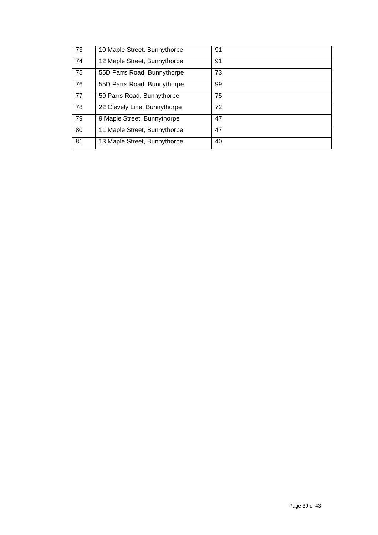| 73 | 10 Maple Street, Bunnythorpe | 91 |
|----|------------------------------|----|
| 74 | 12 Maple Street, Bunnythorpe | 91 |
| 75 | 55D Parrs Road, Bunnythorpe  | 73 |
| 76 | 55D Parrs Road, Bunnythorpe  | 99 |
| 77 | 59 Parrs Road, Bunnythorpe   | 75 |
| 78 | 22 Clevely Line, Bunnythorpe | 72 |
| 79 | 9 Maple Street, Bunnythorpe  | 47 |
| 80 | 11 Maple Street, Bunnythorpe | 47 |
| 81 | 13 Maple Street, Bunnythorpe | 40 |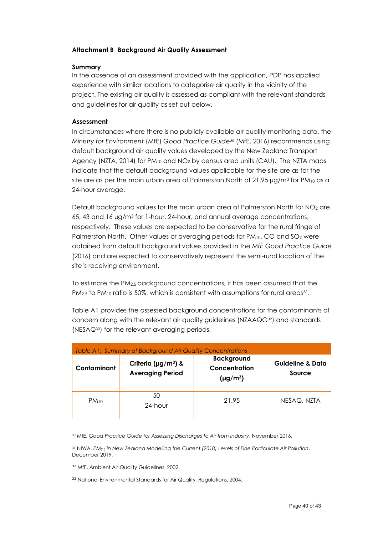#### **Attachment B Background Air Quality Assessment**

#### **Summary**

In the absence of an assessment provided with the application, PDP has applied experience with similar locations to categorise air quality in the vicinity of the project. The existing air quality is assessed as compliant with the relevant standards and guidelines for air quality as set out below.

#### **Assessment**

In circumstances where there is no publicly available air quality monitoring data, the *Ministry for Environment* (MfE) *Good Practice Guide<sup>30</sup>* (MfE, 2016) recommends using default background air quality values developed by the New Zealand Transport Agency (NZTA, 2014) for  $PM_{10}$  and  $NO<sub>2</sub>$  by census area units (CAU). The NZTA maps indicate that the default background values applicable for the site are as for the site are as per the main urban area of Palmerston North of 21.95  $\mu$ g/m<sup>3</sup> for PM<sub>10</sub> as a 24-hour average.

Default background values for the main urban area of Palmerston North for  $NO<sub>2</sub>$  are 65, 43 and 16 µg/m<sup>3</sup> for 1-hour, 24-hour, and annual average concentrations, respectively. These values are expected to be conservative for the rural fringe of Palmerston North. Other values or averaging periods for PM<sub>10</sub>, CO and SO<sub>2</sub> were obtained from default background values provided in the *MfE Good Practice Guide* (2016) and are expected to conservatively represent the semi-rural location of the site's receiving environment.

To estimate the PM2.5 background concentrations, it has been assumed that the PM<sub>2.5</sub> to PM<sub>10</sub> ratio is 50%, which is consistent with assumptions for rural areas<sup>31</sup>.

[Table A1](#page-39-0) provides the assessed background concentrations for the contaminants of concern along with the relevant air quality guidelines (NZAAQG<sup>32</sup>) and standards (NESAQ33) for the relevant averaging periods.

<span id="page-39-0"></span>

| Table A1: Summary of Background Air Quality Concentrations |                                                                  |                                                     |                                       |
|------------------------------------------------------------|------------------------------------------------------------------|-----------------------------------------------------|---------------------------------------|
| Contaminant                                                | Criteria ( $\mu$ g/m <sup>3</sup> ) &<br><b>Averaging Period</b> | <b>Background</b><br>Concentration<br>$(\mu g/m^3)$ | <b>Guideline &amp; Data</b><br>Source |
| $PM_{10}$                                                  | 50<br>24-hour                                                    | 21.95                                               | NESAQ, NZTA                           |

<sup>30</sup> MfE, *Good Practice Guide for Assessing Discharges to Air from Industry*, November 2016.

<sup>31</sup> NIWA, *PM2.5 in New Zealand Modelling the Current (2018) Levels of Fine Particulate Air Pollution*, December 2019.

<sup>&</sup>lt;sup>32</sup> MfE, Ambient Air Quality Guidelines, 2002.

<sup>&</sup>lt;sup>33</sup> National Environmental Standards for Air Quality, Regulations, 2004.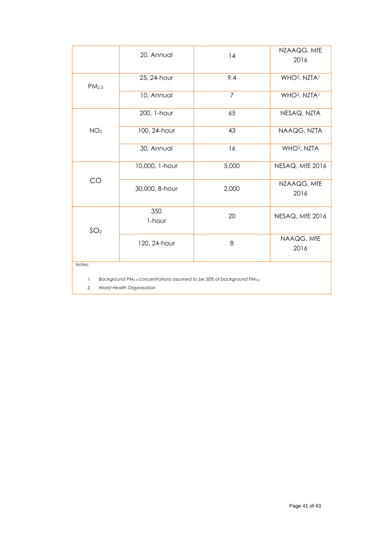|                                                                                                                  | 20, Annual     | 14             | NZAAQG, MfE<br>2016                  |
|------------------------------------------------------------------------------------------------------------------|----------------|----------------|--------------------------------------|
| PM <sub>2.5</sub>                                                                                                | 25, 24-hour    | 9.4            | WHO <sup>2</sup> , NZTA <sup>1</sup> |
|                                                                                                                  | 10, Annual     | $\overline{7}$ | WHO <sup>2</sup> , NZTA <sup>1</sup> |
|                                                                                                                  | 200, 1-hour    | 65             | NESAQ, NZTA                          |
| NO <sub>2</sub>                                                                                                  | 100, 24-hour   | 43             | NAAQG, NZTA                          |
|                                                                                                                  | 30, Annual     | 16             | WHO <sup>2</sup> , NZTA              |
|                                                                                                                  | 10,000, 1-hour | 5,000          | NESAQ, MfE 2016                      |
| CO                                                                                                               | 30,000, 8-hour | 2,000          | NZAAQG, MfE<br>2016                  |
| SO <sub>2</sub>                                                                                                  | 350<br>1-hour  | 20             | NESAQ, MfE 2016                      |
|                                                                                                                  | 120, 24-hour   | 8              | NAAQG, MfE<br>2016                   |
| Notes:                                                                                                           |                |                |                                      |
| Background PM <sub>2.5</sub> concentrations assumed to be 50% of background PM <sub>10</sub> .<br>$\mathbf{1}$ . |                |                |                                      |
| 2.<br>World Health Organisation                                                                                  |                |                |                                      |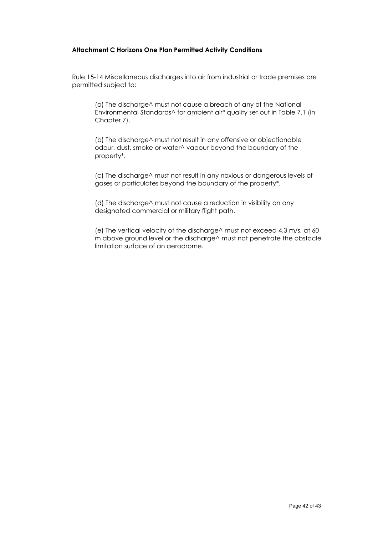#### **Attachment C Horizons One Plan Permitted Activity Conditions**

Rule 15-14 Miscellaneous discharges into air from industrial or trade premises are permitted subject to:

(a) The discharge^ must not cause a breach of any of the National Environmental Standards^ for ambient air\* quality set out in Table 7.1 (in Chapter 7).

(b) The discharge^ must not result in any offensive or objectionable odour, dust, smoke or water^ vapour beyond the boundary of the property\*.

(c) The discharge^ must not result in any noxious or dangerous levels of gases or particulates beyond the boundary of the property\*.

(d) The discharge^ must not cause a reduction in visibility on any designated commercial or military flight path.

(e) The vertical velocity of the discharge^ must not exceed 4.3 m/s, at 60 m above ground level or the discharge^ must not penetrate the obstacle limitation surface of an aerodrome.